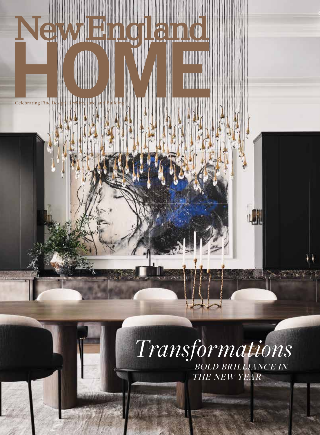## $\bigoplus_{i=1}^n$

Display until February 28, 2022

nehomemage.

**Celebrating Fine** 

## *Transformations* BOLD BRILLIANCE IN THE NEW YEAR

业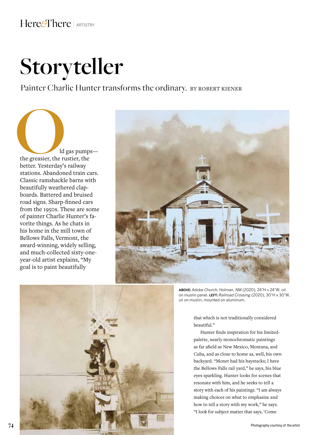## **Storyteller**

Painter Charlie Hunter transforms the ordinary. BY ROBERT KIENER

**1998**<br>
1998 University of Mars Pumps—<br>
1998 University of Mars President Presentation of Mars President<br>
1999 President President President President President President President<br>
1999 President President President Presi the greasier, the rustier, the better. Yesterday's railway stations. Abandoned train cars. Classic ramshackle barns with beautifully weathered clapboards. Battered and bruised road signs. Sharp-finned cars from the 1950s. These are some of painter Charlie Hunter's favorite things. As he chats in his home in the mill town of Bellows Falls, Vermont, the award-winning, widely selling, and much-collected sixty-oneyear-old artist explains, "My goal is to paint beautifully





**ABOVE:** *Adobe Church, Holman, NM* (2020), 24"H x 24"W, oil on muslin panel. **LEFT:** *Railroad Crossing* (2020), 30"H x 30"W, oil on muslin, mounted on aluminum.

that which is not traditionally considered beautiful."

Hunter finds inspiration for his limitedpalette, nearly monochromatic paintings as far afield as New Mexico, Montana, and Cuba, and as close to home as, well, his own backyard. "Monet had his haystacks; I have the Bellows Falls rail yard," he says, his blue eyes sparkling. Hunter looks for scenes that resonate with him, and he seeks to tell a story with each of his paintings. "I am always making choices on what to emphasize and how to tell a story with my work," he says. "I look for subject matter that says, 'Come